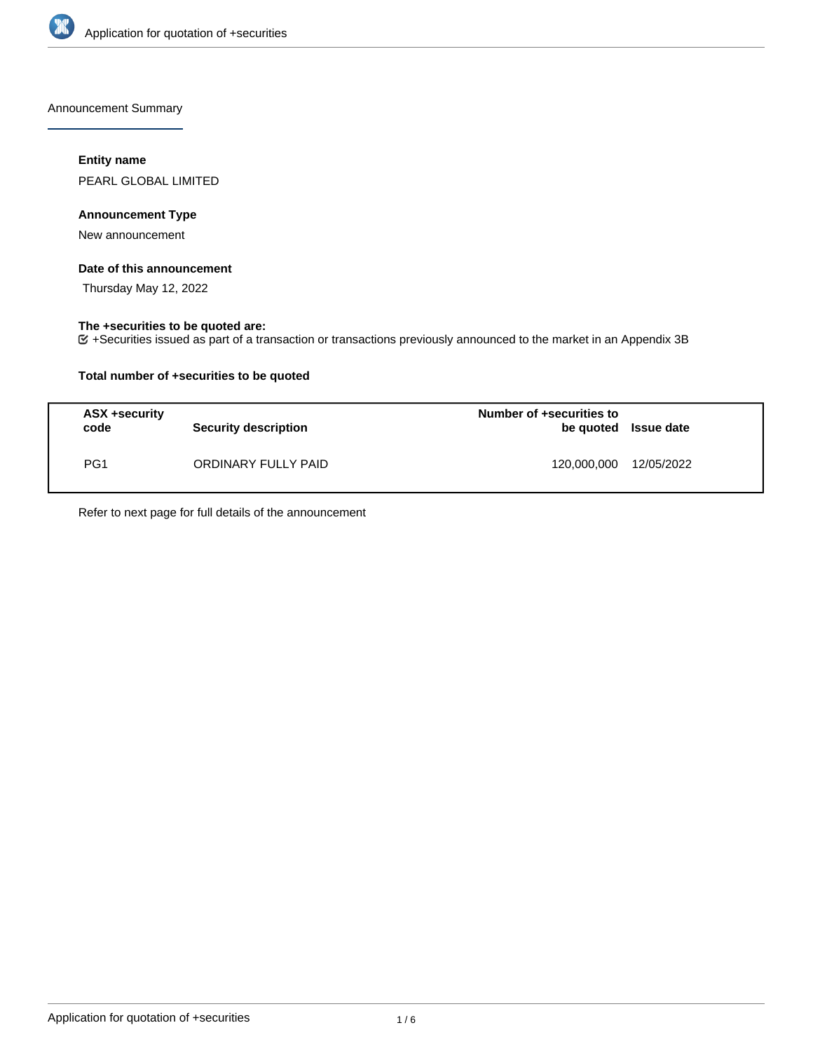

Announcement Summary

## **Entity name**

PEARL GLOBAL LIMITED

## **Announcement Type**

New announcement

## **Date of this announcement**

Thursday May 12, 2022

## **The +securities to be quoted are:**

+Securities issued as part of a transaction or transactions previously announced to the market in an Appendix 3B

## **Total number of +securities to be quoted**

| ASX +security<br>code | <b>Security description</b> | Number of +securities to<br>be quoted Issue date |  |
|-----------------------|-----------------------------|--------------------------------------------------|--|
| PG <sub>1</sub>       | ORDINARY FULLY PAID         | 120,000,000 12/05/2022                           |  |

Refer to next page for full details of the announcement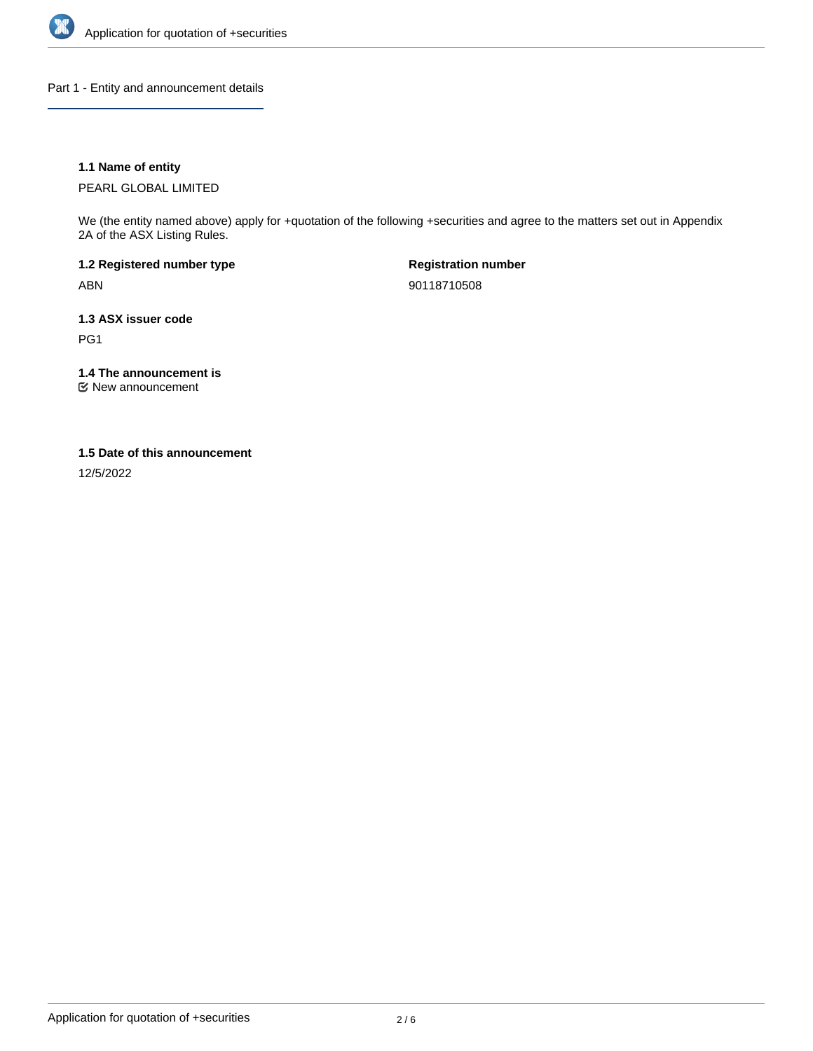

Part 1 - Entity and announcement details

## **1.1 Name of entity**

PEARL GLOBAL LIMITED

We (the entity named above) apply for +quotation of the following +securities and agree to the matters set out in Appendix 2A of the ASX Listing Rules.

**1.2 Registered number type** ABN

**Registration number** 90118710508

**1.3 ASX issuer code** PG1

**1.4 The announcement is**

New announcement

#### **1.5 Date of this announcement**

12/5/2022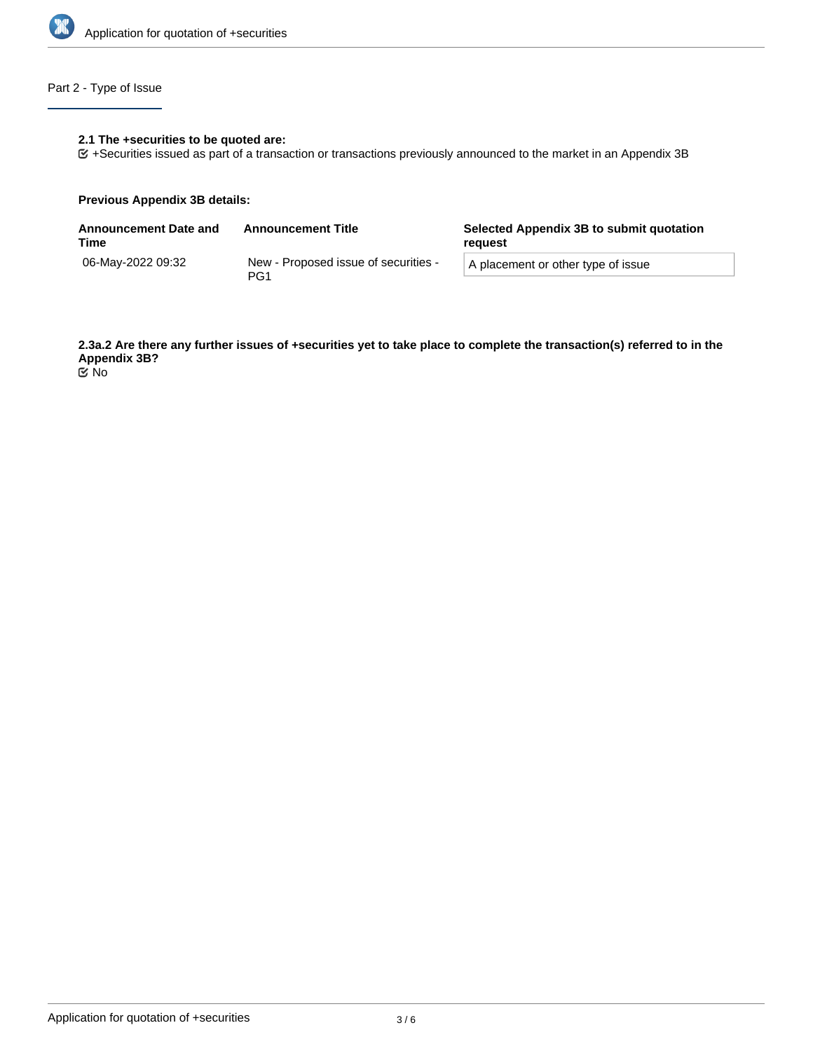

# Part 2 - Type of Issue

## **2.1 The +securities to be quoted are:**

+Securities issued as part of a transaction or transactions previously announced to the market in an Appendix 3B

#### **Previous Appendix 3B details:**

| <b>Announcement Date and</b><br>Time | <b>Announcement Title</b>                               | Selected Appendix 3B to submit quotation<br>reguest |  |
|--------------------------------------|---------------------------------------------------------|-----------------------------------------------------|--|
| 06-May-2022 09:32                    | New - Proposed issue of securities -<br>PG <sub>1</sub> | A placement or other type of issue                  |  |

**2.3a.2 Are there any further issues of +securities yet to take place to complete the transaction(s) referred to in the Appendix 3B?** No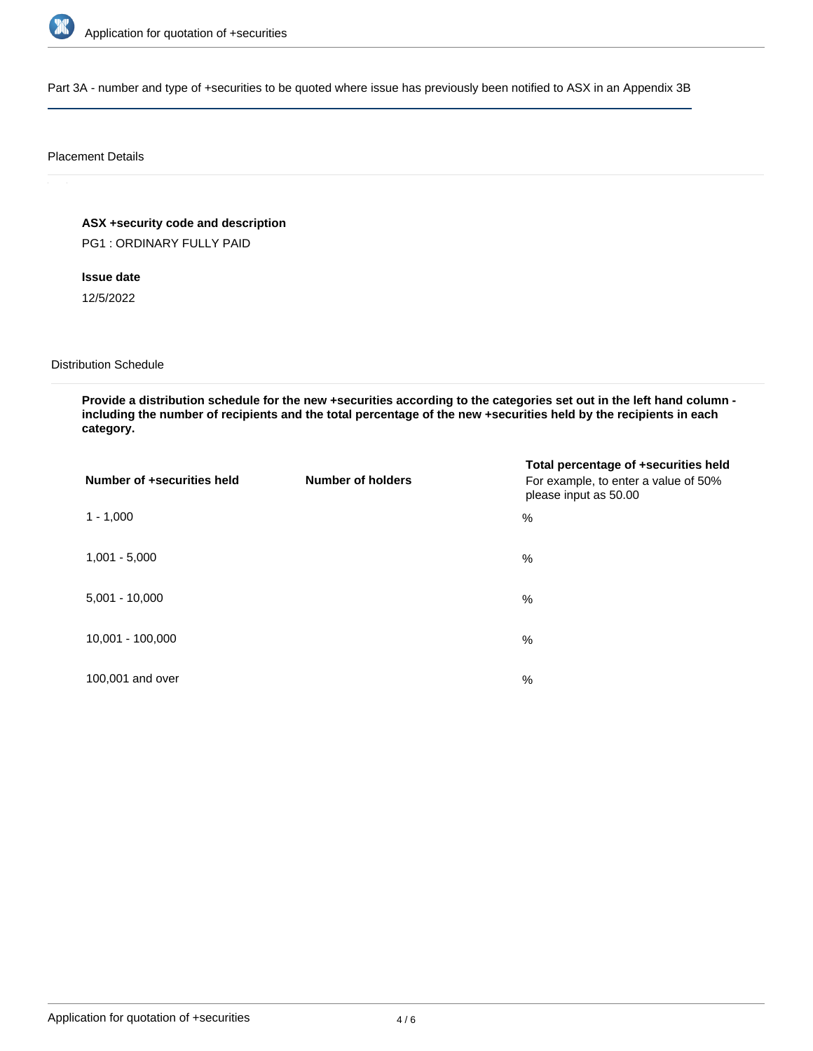

Part 3A - number and type of +securities to be quoted where issue has previously been notified to ASX in an Appendix 3B

#### Placement Details

**ASX +security code and description**

PG1 : ORDINARY FULLY PAID

**Issue date**

12/5/2022

Distribution Schedule

**Provide a distribution schedule for the new +securities according to the categories set out in the left hand column including the number of recipients and the total percentage of the new +securities held by the recipients in each category.**

| Number of +securities held | <b>Number of holders</b> | Total percentage of +securities held<br>For example, to enter a value of 50%<br>please input as 50.00 |
|----------------------------|--------------------------|-------------------------------------------------------------------------------------------------------|
| $1 - 1,000$                |                          | %                                                                                                     |
| $1,001 - 5,000$            |                          | $\%$                                                                                                  |
| $5,001 - 10,000$           |                          | %                                                                                                     |
| 10,001 - 100,000           |                          | $\frac{0}{0}$                                                                                         |
| 100,001 and over           |                          | $\%$                                                                                                  |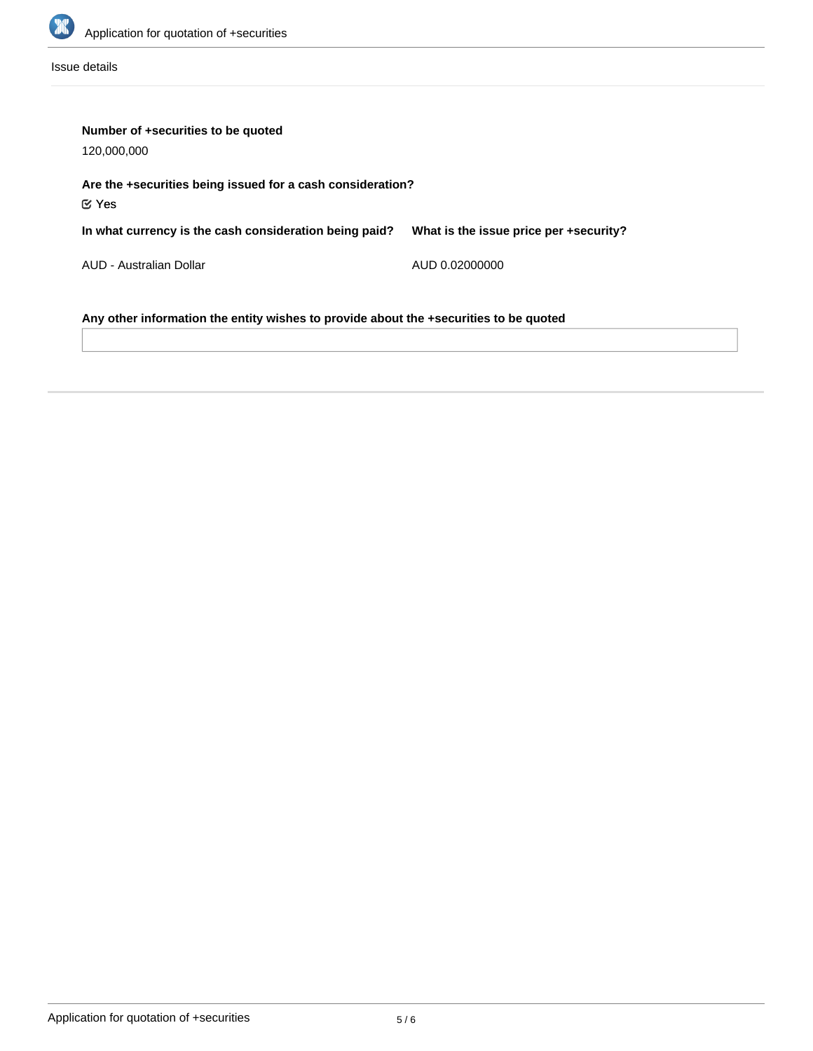

Issue details

| Number of +securities to be quoted<br>120,000,000                                     |                                        |  |  |  |
|---------------------------------------------------------------------------------------|----------------------------------------|--|--|--|
| Are the +securities being issued for a cash consideration?<br>$\mathfrak C$ Yes       |                                        |  |  |  |
| In what currency is the cash consideration being paid?                                | What is the issue price per +security? |  |  |  |
| AUD - Australian Dollar                                                               | AUD 0.02000000                         |  |  |  |
| Any other information the entity wishes to provide about the +securities to be quoted |                                        |  |  |  |